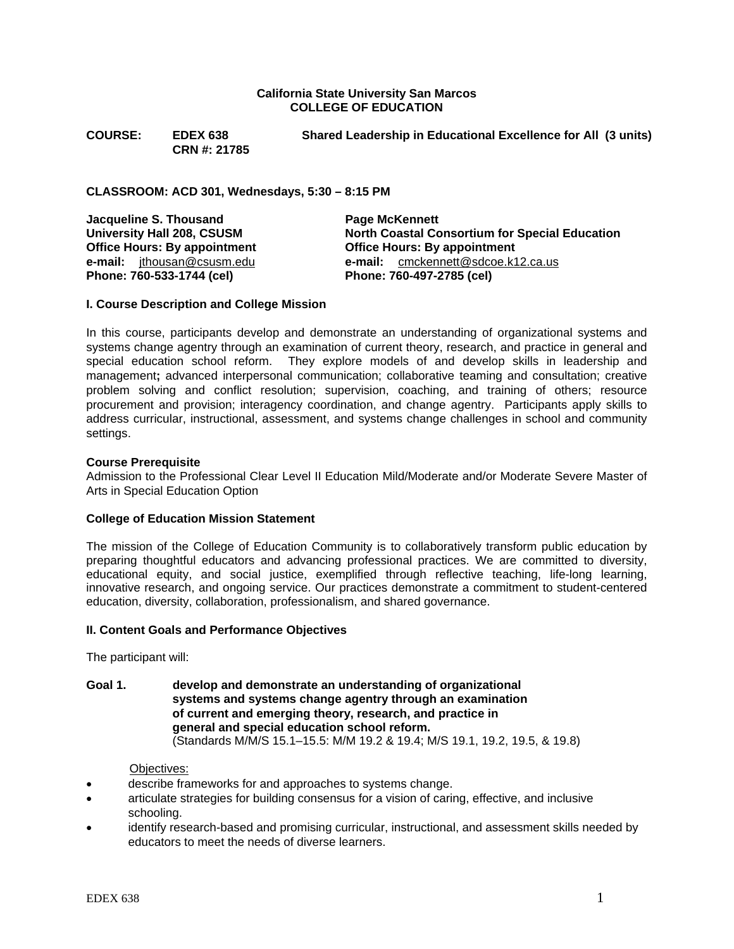#### **California State University San Marcos COLLEGE OF EDUCATION**

**CRN #: 21785** 

**COURSE: EDEX 638 Shared Leadership in Educational Excellence for All (3 units)** 

**CLASSROOM: ACD 301, Wednesdays, 5:30 – 8:15 PM** 

**Jacqueline S. Thousand C. A. B. Page McKennett University Hall 208, CSUSM North Coastal Consortium for Special Education Office Hours: By appointment Office Hours: By appointment e-mail:** jthousan@csusm.edu **e-mail:** cmckennett@sdcoe.k12.ca.us **Phone: 760-533-1744 (cel) Phone: 760-497-2785 (cel)** 

## **I. Course Description and College Mission**

In this course, participants develop and demonstrate an understanding of organizational systems and systems change agentry through an examination of current theory, research, and practice in general and special education school reform. They explore models of and develop skills in leadership and management**;** advanced interpersonal communication; collaborative teaming and consultation; creative problem solving and conflict resolution; supervision, coaching, and training of others; resource procurement and provision; interagency coordination, and change agentry. Participants apply skills to address curricular, instructional, assessment, and systems change challenges in school and community settings.

## **Course Prerequisite**

Admission to the Professional Clear Level II Education Mild/Moderate and/or Moderate Severe Master of Arts in Special Education Option

#### **College of Education Mission Statement**

The mission of the College of Education Community is to collaboratively transform public education by preparing thoughtful educators and advancing professional practices. We are committed to diversity, educational equity, and social justice, exemplified through reflective teaching, life-long learning, innovative research, and ongoing service. Our practices demonstrate a commitment to student-centered education, diversity, collaboration, professionalism, and shared governance.

#### **II. Content Goals and Performance Objectives**

The participant will:

**Goal 1. develop and demonstrate an understanding of organizational systems and systems change agentry through an examination of current and emerging theory, research, and practice in general and special education school reform.**  (Standards M/M/S 15.1–15.5: M/M 19.2 & 19.4; M/S 19.1, 19.2, 19.5, & 19.8)

Objectives:

- describe frameworks for and approaches to systems change.
- articulate strategies for building consensus for a vision of caring, effective, and inclusive schooling.
- identify research-based and promising curricular, instructional, and assessment skills needed by educators to meet the needs of diverse learners.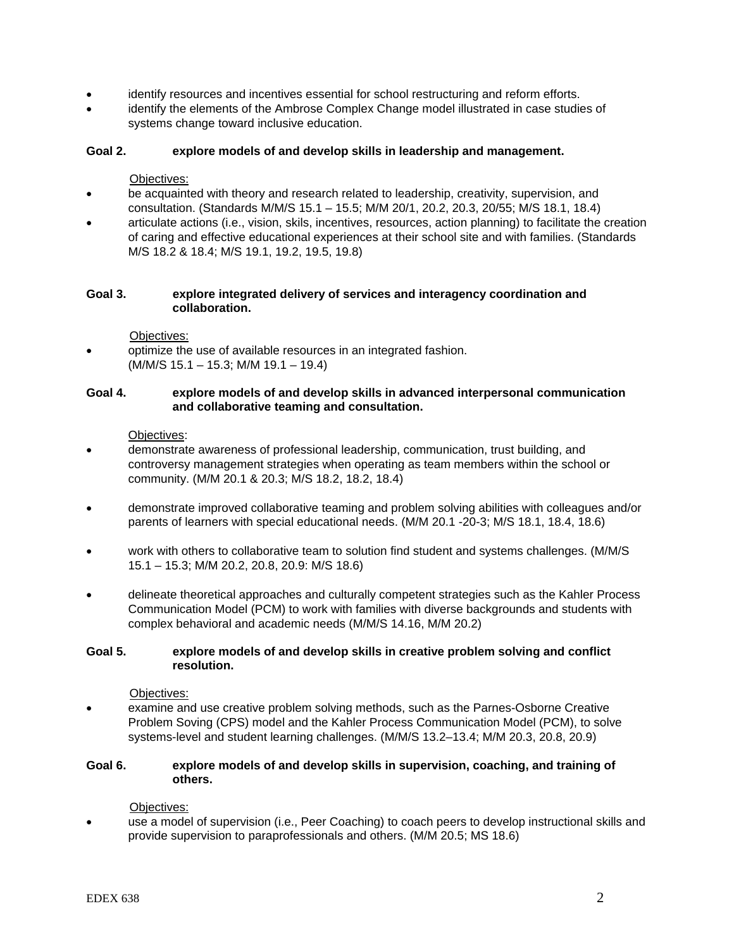- identify resources and incentives essential for school restructuring and reform efforts.
- identify the elements of the Ambrose Complex Change model illustrated in case studies of systems change toward inclusive education.

## **Goal 2. explore models of and develop skills in leadership and management.**

#### Objectives:

- be acquainted with theory and research related to leadership, creativity, supervision, and consultation. (Standards M/M/S 15.1 – 15.5; M/M 20/1, 20.2, 20.3, 20/55; M/S 18.1, 18.4)
- articulate actions (i.e., vision, skils, incentives, resources, action planning) to facilitate the creation of caring and effective educational experiences at their school site and with families. (Standards M/S 18.2 & 18.4; M/S 19.1, 19.2, 19.5, 19.8)

#### **Goal 3. explore integrated delivery of services and interagency coordination and collaboration.**

- Objectives:
- optimize the use of available resources in an integrated fashion. (M/M/S 15.1 – 15.3; M/M 19.1 – 19.4)

#### **Goal 4. explore models of and develop skills in advanced interpersonal communication and collaborative teaming and consultation.**

Objectives:

- demonstrate awareness of professional leadership, communication, trust building, and controversy management strategies when operating as team members within the school or community. (M/M 20.1 & 20.3; M/S 18.2, 18.2, 18.4)
- demonstrate improved collaborative teaming and problem solving abilities with colleagues and/or parents of learners with special educational needs. (M/M 20.1 -20-3; M/S 18.1, 18.4, 18.6)
- work with others to collaborative team to solution find student and systems challenges. (M/M/S 15.1 – 15.3; M/M 20.2, 20.8, 20.9: M/S 18.6)
- delineate theoretical approaches and culturally competent strategies such as the Kahler Process Communication Model (PCM) to work with families with diverse backgrounds and students with complex behavioral and academic needs (M/M/S 14.16, M/M 20.2)

## **Goal 5. explore models of and develop skills in creative problem solving and conflict resolution.**

Objectives:

examine and use creative problem solving methods, such as the Parnes-Osborne Creative Problem Soving (CPS) model and the Kahler Process Communication Model (PCM), to solve systems-level and student learning challenges. (M/M/S 13.2–13.4; M/M 20.3, 20.8, 20.9)

## **Goal 6. explore models of and develop skills in supervision, coaching, and training of others.**

Objectives:

• use a model of supervision (i.e., Peer Coaching) to coach peers to develop instructional skills and provide supervision to paraprofessionals and others. (M/M 20.5; MS 18.6)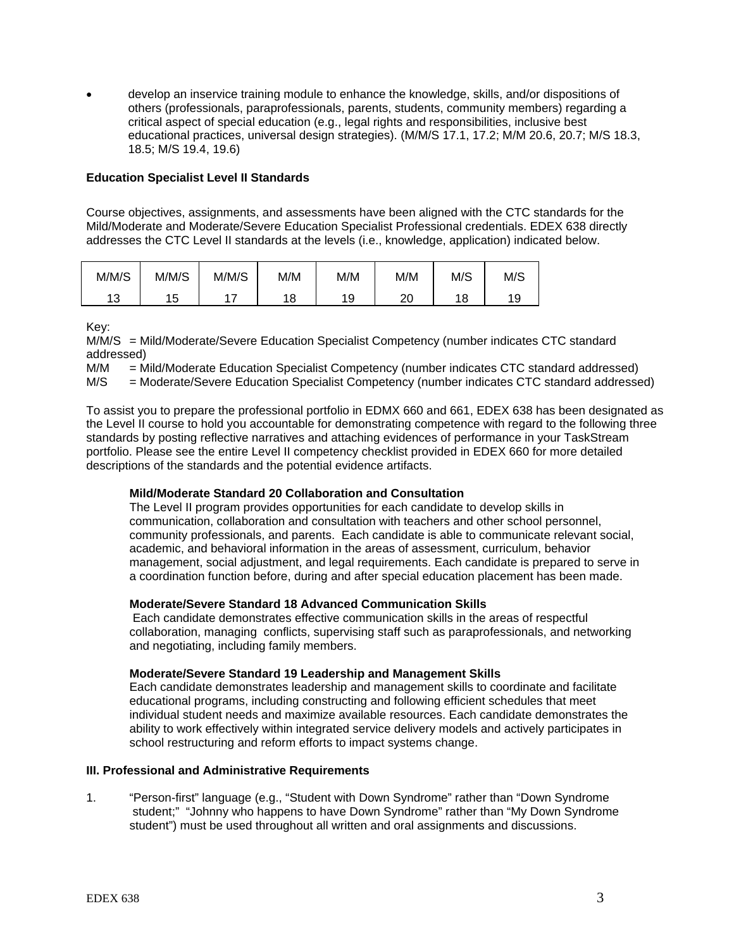• develop an inservice training module to enhance the knowledge, skills, and/or dispositions of others (professionals, paraprofessionals, parents, students, community members) regarding a critical aspect of special education (e.g., legal rights and responsibilities, inclusive best educational practices, universal design strategies). (M/M/S 17.1, 17.2; M/M 20.6, 20.7; M/S 18.3, 18.5; M/S 19.4, 19.6)

## **Education Specialist Level II Standards**

Course objectives, assignments, and assessments have been aligned with the CTC standards for the Mild/Moderate and Moderate/Severe Education Specialist Professional credentials. EDEX 638 directly addresses the CTC Level II standards at the levels (i.e., knowledge, application) indicated below.

| M/M/S     | M/M/S          | M/M/S | M/M | M/M | M/M      | M/S | M/S |
|-----------|----------------|-------|-----|-----|----------|-----|-----|
| 12<br>ں ، | 1 に<br>л<br>∪י | -     | 18  | 19  | ററ<br>∠∪ | 18  | 19  |

Key:

M/M/S = Mild/Moderate/Severe Education Specialist Competency (number indicates CTC standard addressed)

M/M = Mild/Moderate Education Specialist Competency (number indicates CTC standard addressed)<br>M/S = Moderate/Severe Education Specialist Competency (number indicates CTC standard addresse

= Moderate/Severe Education Specialist Competency (number indicates CTC standard addressed)

To assist you to prepare the professional portfolio in EDMX 660 and 661, EDEX 638 has been designated as the Level II course to hold you accountable for demonstrating competence with regard to the following three standards by posting reflective narratives and attaching evidences of performance in your TaskStream portfolio. Please see the entire Level II competency checklist provided in EDEX 660 for more detailed descriptions of the standards and the potential evidence artifacts.

#### **Mild/Moderate Standard 20 Collaboration and Consultation**

The Level II program provides opportunities for each candidate to develop skills in communication, collaboration and consultation with teachers and other school personnel, community professionals, and parents. Each candidate is able to communicate relevant social, academic, and behavioral information in the areas of assessment, curriculum, behavior management, social adjustment, and legal requirements. Each candidate is prepared to serve in a coordination function before, during and after special education placement has been made.

#### **Moderate/Severe Standard 18 Advanced Communication Skills**

 Each candidate demonstrates effective communication skills in the areas of respectful collaboration, managing conflicts, supervising staff such as paraprofessionals, and networking and negotiating, including family members.

#### **Moderate/Severe Standard 19 Leadership and Management Skills**

Each candidate demonstrates leadership and management skills to coordinate and facilitate educational programs, including constructing and following efficient schedules that meet individual student needs and maximize available resources. Each candidate demonstrates the ability to work effectively within integrated service delivery models and actively participates in school restructuring and reform efforts to impact systems change.

## **III. Professional and Administrative Requirements**

1. "Person-first" language (e.g., "Student with Down Syndrome" rather than "Down Syndrome student;" "Johnny who happens to have Down Syndrome" rather than "My Down Syndrome student") must be used throughout all written and oral assignments and discussions.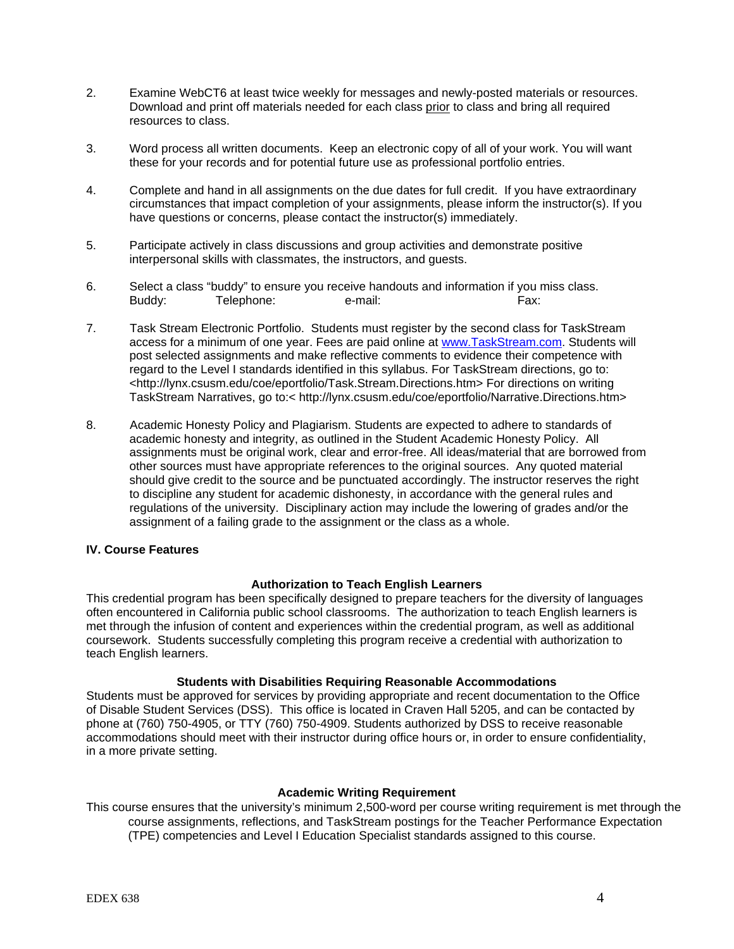- 2. Examine WebCT6 at least twice weekly for messages and newly-posted materials or resources. Download and print off materials needed for each class prior to class and bring all required resources to class.
- 3. Word process all written documents. Keep an electronic copy of all of your work. You will want these for your records and for potential future use as professional portfolio entries.
- 4. Complete and hand in all assignments on the due dates for full credit. If you have extraordinary circumstances that impact completion of your assignments, please inform the instructor(s). If you have questions or concerns, please contact the instructor(s) immediately.
- 5. Participate actively in class discussions and group activities and demonstrate positive interpersonal skills with classmates, the instructors, and guests.
- 6. Select a class "buddy" to ensure you receive handouts and information if you miss class. Buddy: Telephone: e-mail: Fax: Fax:
- 7. Task Stream Electronic Portfolio. Students must register by the second class for TaskStream access for a minimum of one year. Fees are paid online at www.TaskStream.com. Students will post selected assignments and make reflective comments to evidence their competence with regard to the Level I standards identified in this syllabus. For TaskStream directions, go to: <http://lynx.csusm.edu/coe/eportfolio/Task.Stream.Directions.htm> For directions on writing TaskStream Narratives, go to:< http://lynx.csusm.edu/coe/eportfolio/Narrative.Directions.htm>
- 8. Academic Honesty Policy and Plagiarism. Students are expected to adhere to standards of academic honesty and integrity, as outlined in the Student Academic Honesty Policy. All assignments must be original work, clear and error-free. All ideas/material that are borrowed from other sources must have appropriate references to the original sources. Any quoted material should give credit to the source and be punctuated accordingly. The instructor reserves the right to discipline any student for academic dishonesty, in accordance with the general rules and regulations of the university. Disciplinary action may include the lowering of grades and/or the assignment of a failing grade to the assignment or the class as a whole.

#### **IV. Course Features**

#### **Authorization to Teach English Learners**

This credential program has been specifically designed to prepare teachers for the diversity of languages often encountered in California public school classrooms. The authorization to teach English learners is met through the infusion of content and experiences within the credential program, as well as additional coursework. Students successfully completing this program receive a credential with authorization to teach English learners.

#### **Students with Disabilities Requiring Reasonable Accommodations**

Students must be approved for services by providing appropriate and recent documentation to the Office of Disable Student Services (DSS). This office is located in Craven Hall 5205, and can be contacted by phone at (760) 750-4905, or TTY (760) 750-4909. Students authorized by DSS to receive reasonable accommodations should meet with their instructor during office hours or, in order to ensure confidentiality, in a more private setting.

#### **Academic Writing Requirement**

This course ensures that the university's minimum 2,500-word per course writing requirement is met through the course assignments, reflections, and TaskStream postings for the Teacher Performance Expectation (TPE) competencies and Level I Education Specialist standards assigned to this course.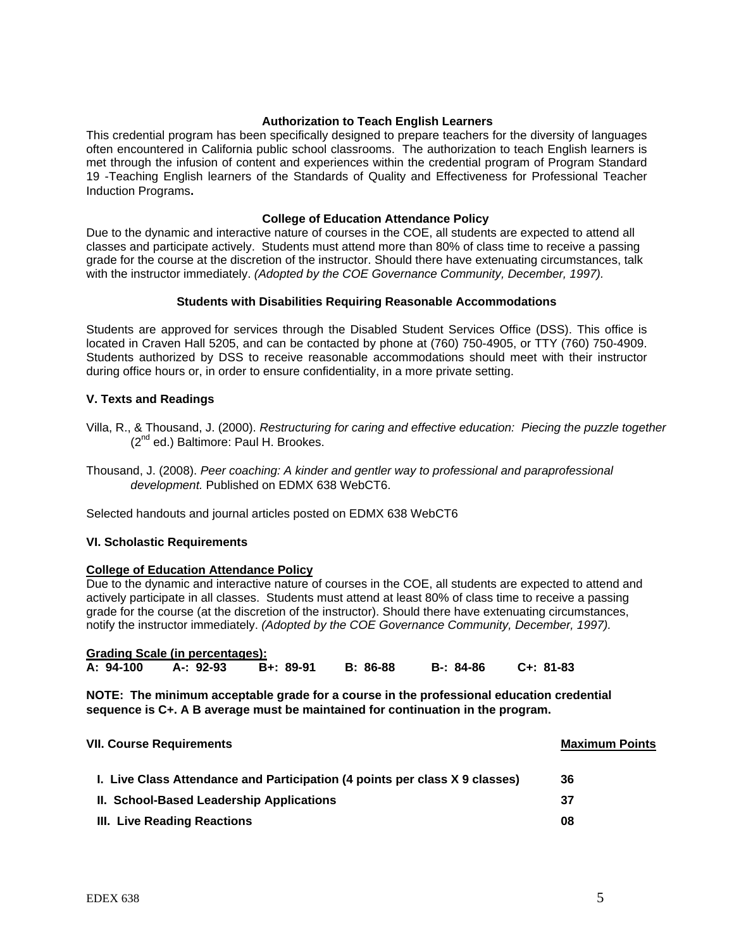#### **Authorization to Teach English Learners**

This credential program has been specifically designed to prepare teachers for the diversity of languages often encountered in California public school classrooms. The authorization to teach English learners is met through the infusion of content and experiences within the credential program of Program Standard 19 -Teaching English learners of the Standards of Quality and Effectiveness for Professional Teacher Induction Programs**.**

#### **College of Education Attendance Policy**

Due to the dynamic and interactive nature of courses in the COE, all students are expected to attend all classes and participate actively. Students must attend more than 80% of class time to receive a passing grade for the course at the discretion of the instructor. Should there have extenuating circumstances, talk with the instructor immediately. *(Adopted by the COE Governance Community, December, 1997).*

## **Students with Disabilities Requiring Reasonable Accommodations**

Students are approved for services through the Disabled Student Services Office (DSS). This office is located in Craven Hall 5205, and can be contacted by phone at (760) 750-4905, or TTY (760) 750-4909. Students authorized by DSS to receive reasonable accommodations should meet with their instructor during office hours or, in order to ensure confidentiality, in a more private setting.

## **V. Texts and Readings**

- Villa, R., & Thousand, J. (2000). *Restructuring for caring and effective education: Piecing the puzzle together* (2<sup>nd</sup> ed.) Baltimore: Paul H. Brookes.
- Thousand, J. (2008). *Peer coaching: A kinder and gentler way to professional and paraprofessional development.* Published on EDMX 638 WebCT6.

Selected handouts and journal articles posted on EDMX 638 WebCT6

#### **VI. Scholastic Requirements**

## **College of Education Attendance Policy**

Due to the dynamic and interactive nature of courses in the COE, all students are expected to attend and actively participate in all classes. Students must attend at least 80% of class time to receive a passing grade for the course (at the discretion of the instructor). Should there have extenuating circumstances, notify the instructor immediately. *(Adopted by the COE Governance Community, December, 1997).*

|           | <b>Grading Scale (in percentages):</b> |           |          |           |           |
|-----------|----------------------------------------|-----------|----------|-----------|-----------|
| A: 94-100 | A-: 92-93                              | B+: 89-91 | B: 86-88 | B-: 84-86 | C+: 81-83 |

**NOTE: The minimum acceptable grade for a course in the professional education credential sequence is C+. A B average must be maintained for continuation in the program.**

| <b>VII. Course Requirements</b>                                             | <b>Maximum Points</b> |  |
|-----------------------------------------------------------------------------|-----------------------|--|
| I. Live Class Attendance and Participation (4 points per class X 9 classes) | 36                    |  |
| II. School-Based Leadership Applications                                    | 37                    |  |
| III. Live Reading Reactions                                                 | 08                    |  |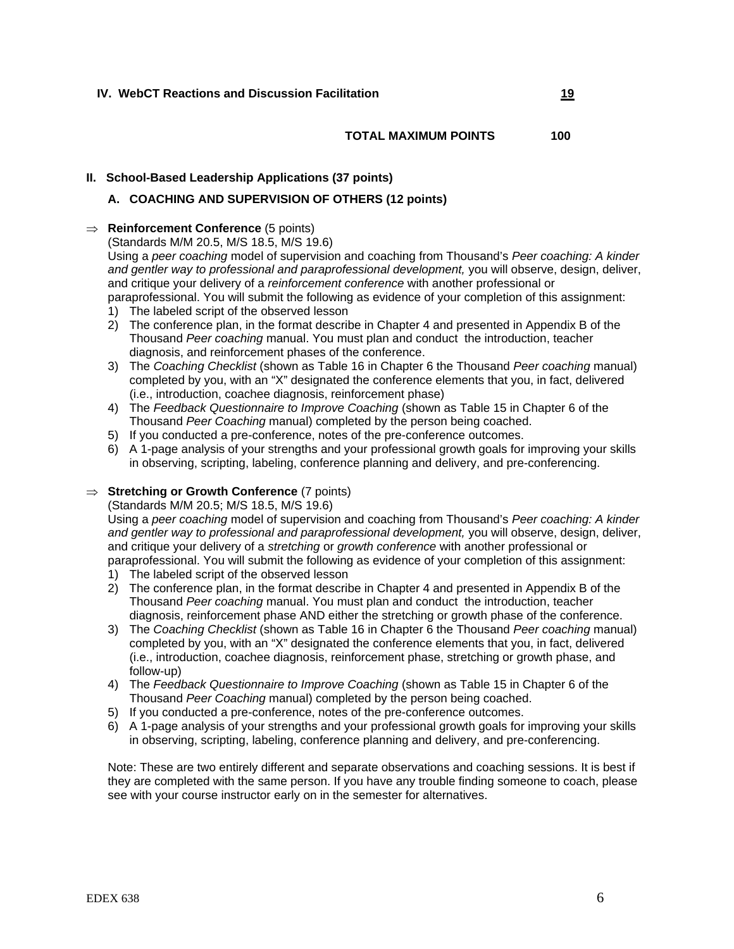#### **TOTAL MAXIMUM POINTS 100**

#### **II. School-Based Leadership Applications (37 points)**

## **A. COACHING AND SUPERVISION OF OTHERS (12 points)**

## ⇒ **Reinforcement Conference** (5 points)

(Standards M/M 20.5, M/S 18.5, M/S 19.6)

Using a *peer coaching* model of supervision and coaching from Thousand's *Peer coaching: A kinder and gentler way to professional and paraprofessional development,* you will observe, design, deliver, and critique your delivery of a *reinforcement conference* with another professional or paraprofessional. You will submit the following as evidence of your completion of this assignment:

- 1) The labeled script of the observed lesson
- 2) The conference plan, in the format describe in Chapter 4 and presented in Appendix B of the Thousand *Peer coaching* manual. You must plan and conduct the introduction, teacher diagnosis, and reinforcement phases of the conference.
- 3) The *Coaching Checklist* (shown as Table 16 in Chapter 6 the Thousand *Peer coaching* manual) completed by you, with an "X" designated the conference elements that you, in fact, delivered (i.e., introduction, coachee diagnosis, reinforcement phase)
- 4) The *Feedback Questionnaire to Improve Coaching* (shown as Table 15 in Chapter 6 of the Thousand *Peer Coaching* manual) completed by the person being coached.
- 5) If you conducted a pre-conference, notes of the pre-conference outcomes.
- 6) A 1-page analysis of your strengths and your professional growth goals for improving your skills in observing, scripting, labeling, conference planning and delivery, and pre-conferencing.

## ⇒ **Stretching or Growth Conference** (7 points)

(Standards M/M 20.5; M/S 18.5, M/S 19.6)

Using a *peer coaching* model of supervision and coaching from Thousand's *Peer coaching: A kinder and gentler way to professional and paraprofessional development,* you will observe, design, deliver, and critique your delivery of a *stretching* or *growth conference* with another professional or paraprofessional. You will submit the following as evidence of your completion of this assignment:

- 1) The labeled script of the observed lesson
- 2) The conference plan, in the format describe in Chapter 4 and presented in Appendix B of the Thousand *Peer coaching* manual. You must plan and conduct the introduction, teacher diagnosis, reinforcement phase AND either the stretching or growth phase of the conference.
- 3) The *Coaching Checklist* (shown as Table 16 in Chapter 6 the Thousand *Peer coaching* manual) completed by you, with an "X" designated the conference elements that you, in fact, delivered (i.e., introduction, coachee diagnosis, reinforcement phase, stretching or growth phase, and follow-up)
- 4) The *Feedback Questionnaire to Improve Coaching* (shown as Table 15 in Chapter 6 of the Thousand *Peer Coaching* manual) completed by the person being coached.
- 5) If you conducted a pre-conference, notes of the pre-conference outcomes.
- 6) A 1-page analysis of your strengths and your professional growth goals for improving your skills in observing, scripting, labeling, conference planning and delivery, and pre-conferencing.

Note: These are two entirely different and separate observations and coaching sessions. It is best if they are completed with the same person. If you have any trouble finding someone to coach, please see with your course instructor early on in the semester for alternatives.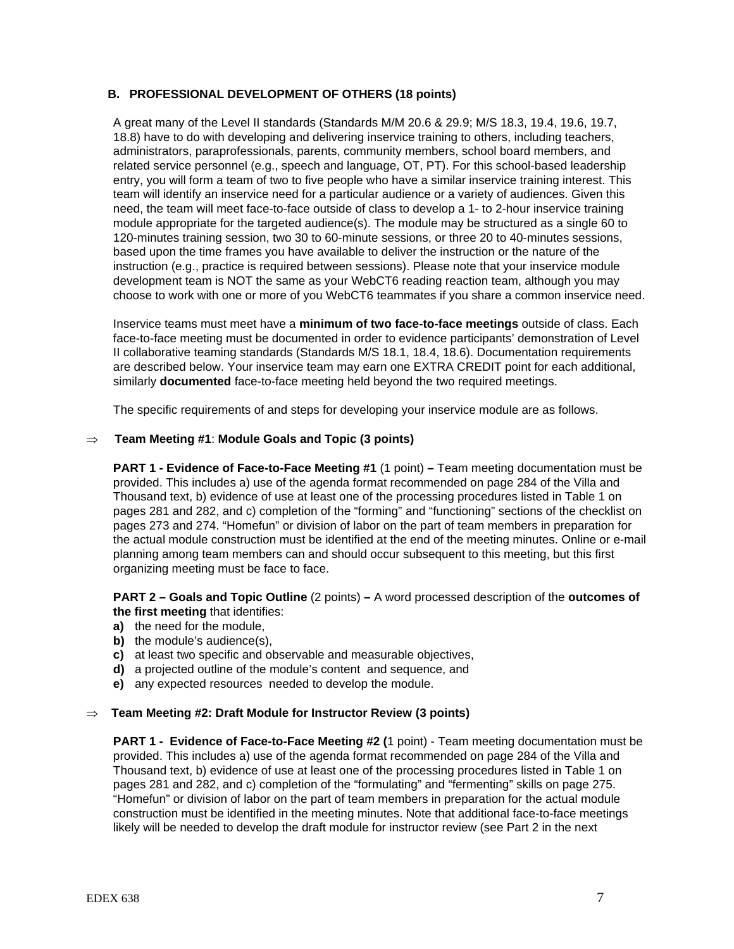## **B. PROFESSIONAL DEVELOPMENT OF OTHERS (18 points)**

 A great many of the Level II standards (Standards M/M 20.6 & 29.9; M/S 18.3, 19.4, 19.6, 19.7, 18.8) have to do with developing and delivering inservice training to others, including teachers, administrators, paraprofessionals, parents, community members, school board members, and related service personnel (e.g., speech and language, OT, PT). For this school-based leadership entry, you will form a team of two to five people who have a similar inservice training interest. This team will identify an inservice need for a particular audience or a variety of audiences. Given this need, the team will meet face-to-face outside of class to develop a 1- to 2-hour inservice training module appropriate for the targeted audience(s). The module may be structured as a single 60 to 120-minutes training session, two 30 to 60-minute sessions, or three 20 to 40-minutes sessions, based upon the time frames you have available to deliver the instruction or the nature of the instruction (e.g., practice is required between sessions). Please note that your inservice module development team is NOT the same as your WebCT6 reading reaction team, although you may choose to work with one or more of you WebCT6 teammates if you share a common inservice need.

 Inservice teams must meet have a **minimum of two face-to-face meetings** outside of class. Each face-to-face meeting must be documented in order to evidence participants' demonstration of Level II collaborative teaming standards (Standards M/S 18.1, 18.4, 18.6). Documentation requirements are described below. Your inservice team may earn one EXTRA CREDIT point for each additional, similarly **documented** face-to-face meeting held beyond the two required meetings.

The specific requirements of and steps for developing your inservice module are as follows.

## ⇒ **Team Meeting #1**: **Module Goals and Topic (3 points)**

**PART 1 - Evidence of Face-to-Face Meeting #1** (1 point) **–** Team meeting documentation must be provided. This includes a) use of the agenda format recommended on page 284 of the Villa and Thousand text, b) evidence of use at least one of the processing procedures listed in Table 1 on pages 281 and 282, and c) completion of the "forming" and "functioning" sections of the checklist on pages 273 and 274. "Homefun" or division of labor on the part of team members in preparation for the actual module construction must be identified at the end of the meeting minutes. Online or e-mail planning among team members can and should occur subsequent to this meeting, but this first organizing meeting must be face to face.

**PART 2 – Goals and Topic Outline** (2 points) **–** A word processed description of the **outcomes of the first meeting** that identifies:

- **a)** the need for the module,
- **b)** the module's audience(s),
- **c)** at least two specific and observable and measurable objectives,
- **d)** a projected outline of the module's content and sequence, and
- **e)** any expected resources needed to develop the module.

#### ⇒ **Team Meeting #2: Draft Module for Instructor Review (3 points)**

**PART 1 - Evidence of Face-to-Face Meeting #2 (**1 point) - Team meeting documentation must be provided. This includes a) use of the agenda format recommended on page 284 of the Villa and Thousand text, b) evidence of use at least one of the processing procedures listed in Table 1 on pages 281 and 282, and c) completion of the "formulating" and "fermenting" skills on page 275. "Homefun" or division of labor on the part of team members in preparation for the actual module construction must be identified in the meeting minutes. Note that additional face-to-face meetings likely will be needed to develop the draft module for instructor review (see Part 2 in the next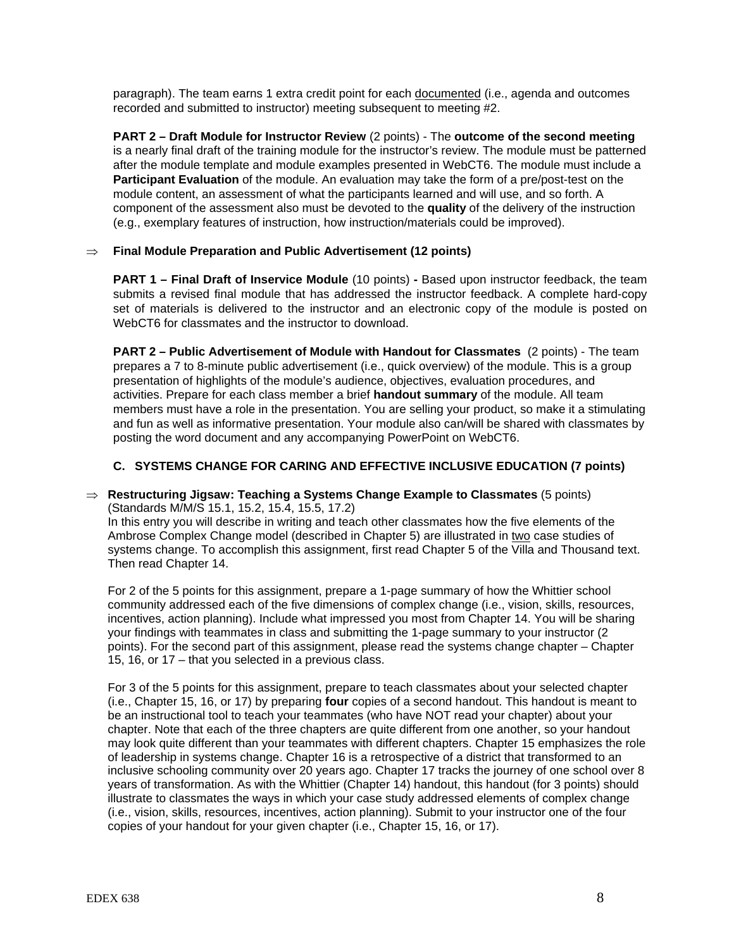paragraph). The team earns 1 extra credit point for each documented (i.e., agenda and outcomes recorded and submitted to instructor) meeting subsequent to meeting #2.

**PART 2 – Draft Module for Instructor Review** (2 points) - The **outcome of the second meeting** is a nearly final draft of the training module for the instructor's review. The module must be patterned after the module template and module examples presented in WebCT6. The module must include a **Participant Evaluation** of the module. An evaluation may take the form of a pre/post-test on the module content, an assessment of what the participants learned and will use, and so forth. A component of the assessment also must be devoted to the **quality** of the delivery of the instruction (e.g., exemplary features of instruction, how instruction/materials could be improved).

## ⇒ **Final Module Preparation and Public Advertisement (12 points)**

**PART 1 – Final Draft of Inservice Module** (10 points) **-** Based upon instructor feedback, the team submits a revised final module that has addressed the instructor feedback. A complete hard-copy set of materials is delivered to the instructor and an electronic copy of the module is posted on WebCT6 for classmates and the instructor to download.

**PART 2 – Public Advertisement of Module with Handout for Classmates** (2 points) - The team prepares a 7 to 8-minute public advertisement (i.e., quick overview) of the module. This is a group presentation of highlights of the module's audience, objectives, evaluation procedures, and activities. Prepare for each class member a brief **handout summary** of the module. All team members must have a role in the presentation. You are selling your product, so make it a stimulating and fun as well as informative presentation. Your module also can/will be shared with classmates by posting the word document and any accompanying PowerPoint on WebCT6.

## **C. SYSTEMS CHANGE FOR CARING AND EFFECTIVE INCLUSIVE EDUCATION (7 points)**

## ⇒ **Restructuring Jigsaw: Teaching a Systems Change Example to Classmates** (5 points) (Standards M/M/S 15.1, 15.2, 15.4, 15.5, 17.2)

In this entry you will describe in writing and teach other classmates how the five elements of the Ambrose Complex Change model (described in Chapter 5) are illustrated in two case studies of systems change. To accomplish this assignment, first read Chapter 5 of the Villa and Thousand text. Then read Chapter 14.

For 2 of the 5 points for this assignment, prepare a 1-page summary of how the Whittier school community addressed each of the five dimensions of complex change (i.e., vision, skills, resources, incentives, action planning). Include what impressed you most from Chapter 14. You will be sharing your findings with teammates in class and submitting the 1-page summary to your instructor (2 points). For the second part of this assignment, please read the systems change chapter – Chapter 15, 16, or 17 – that you selected in a previous class.

For 3 of the 5 points for this assignment, prepare to teach classmates about your selected chapter (i.e., Chapter 15, 16, or 17) by preparing **four** copies of a second handout. This handout is meant to be an instructional tool to teach your teammates (who have NOT read your chapter) about your chapter. Note that each of the three chapters are quite different from one another, so your handout may look quite different than your teammates with different chapters. Chapter 15 emphasizes the role of leadership in systems change. Chapter 16 is a retrospective of a district that transformed to an inclusive schooling community over 20 years ago. Chapter 17 tracks the journey of one school over 8 years of transformation. As with the Whittier (Chapter 14) handout, this handout (for 3 points) should illustrate to classmates the ways in which your case study addressed elements of complex change (i.e., vision, skills, resources, incentives, action planning). Submit to your instructor one of the four copies of your handout for your given chapter (i.e., Chapter 15, 16, or 17).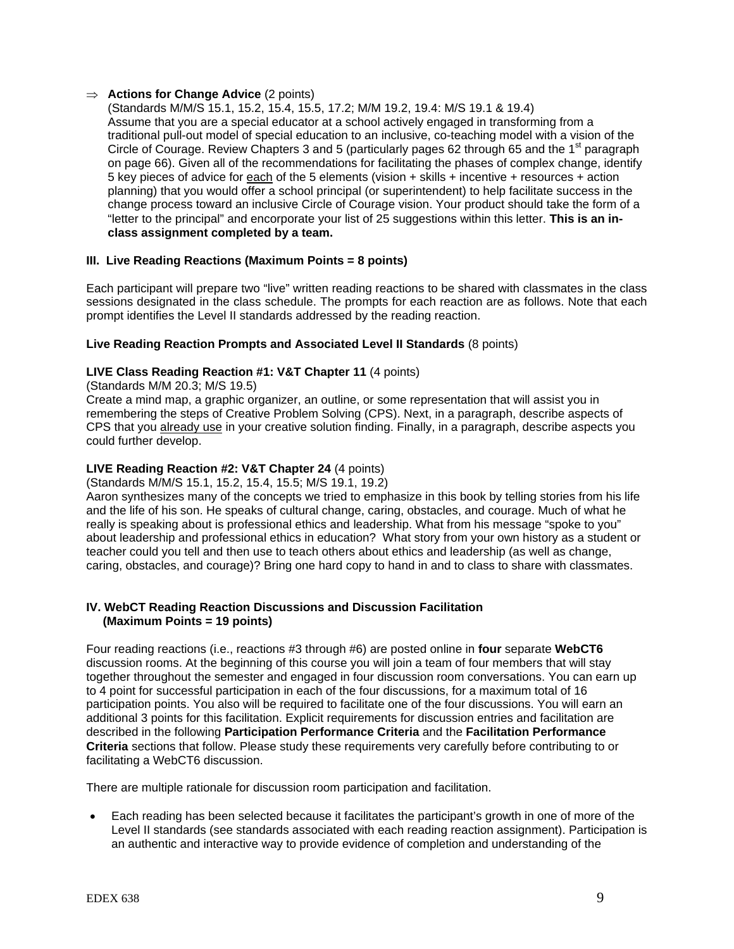#### ⇒ **Actions for Change Advice** (2 points)

(Standards M/M/S 15.1, 15.2, 15.4, 15.5, 17.2; M/M 19.2, 19.4: M/S 19.1 & 19.4) Assume that you are a special educator at a school actively engaged in transforming from a traditional pull-out model of special education to an inclusive, co-teaching model with a vision of the Circle of Courage. Review Chapters 3 and 5 (particularly pages 62 through 65 and the 1<sup>st</sup> paragraph on page 66). Given all of the recommendations for facilitating the phases of complex change, identify 5 key pieces of advice for each of the 5 elements (vision + skills + incentive + resources + action planning) that you would offer a school principal (or superintendent) to help facilitate success in the change process toward an inclusive Circle of Courage vision. Your product should take the form of a "letter to the principal" and encorporate your list of 25 suggestions within this letter. **This is an inclass assignment completed by a team.**

## **III. Live Reading Reactions (Maximum Points = 8 points)**

Each participant will prepare two "live" written reading reactions to be shared with classmates in the class sessions designated in the class schedule. The prompts for each reaction are as follows. Note that each prompt identifies the Level II standards addressed by the reading reaction.

## **Live Reading Reaction Prompts and Associated Level II Standards** (8 points)

## **LIVE Class Reading Reaction #1: V&T Chapter 11** (4 points)

(Standards M/M 20.3; M/S 19.5)

Create a mind map, a graphic organizer, an outline, or some representation that will assist you in remembering the steps of Creative Problem Solving (CPS). Next, in a paragraph, describe aspects of CPS that you already use in your creative solution finding. Finally, in a paragraph, describe aspects you could further develop.

#### **LIVE Reading Reaction #2: V&T Chapter 24** (4 points)

(Standards M/M/S 15.1, 15.2, 15.4, 15.5; M/S 19.1, 19.2)

Aaron synthesizes many of the concepts we tried to emphasize in this book by telling stories from his life and the life of his son. He speaks of cultural change, caring, obstacles, and courage. Much of what he really is speaking about is professional ethics and leadership. What from his message "spoke to you" about leadership and professional ethics in education? What story from your own history as a student or teacher could you tell and then use to teach others about ethics and leadership (as well as change, caring, obstacles, and courage)? Bring one hard copy to hand in and to class to share with classmates.

## **IV. WebCT Reading Reaction Discussions and Discussion Facilitation (Maximum Points = 19 points)**

Four reading reactions (i.e., reactions #3 through #6) are posted online in **four** separate **WebCT6**  discussion rooms. At the beginning of this course you will join a team of four members that will stay together throughout the semester and engaged in four discussion room conversations. You can earn up to 4 point for successful participation in each of the four discussions, for a maximum total of 16 participation points. You also will be required to facilitate one of the four discussions. You will earn an additional 3 points for this facilitation. Explicit requirements for discussion entries and facilitation are described in the following **Participation Performance Criteria** and the **Facilitation Performance Criteria** sections that follow. Please study these requirements very carefully before contributing to or facilitating a WebCT6 discussion.

There are multiple rationale for discussion room participation and facilitation.

• Each reading has been selected because it facilitates the participant's growth in one of more of the Level II standards (see standards associated with each reading reaction assignment). Participation is an authentic and interactive way to provide evidence of completion and understanding of the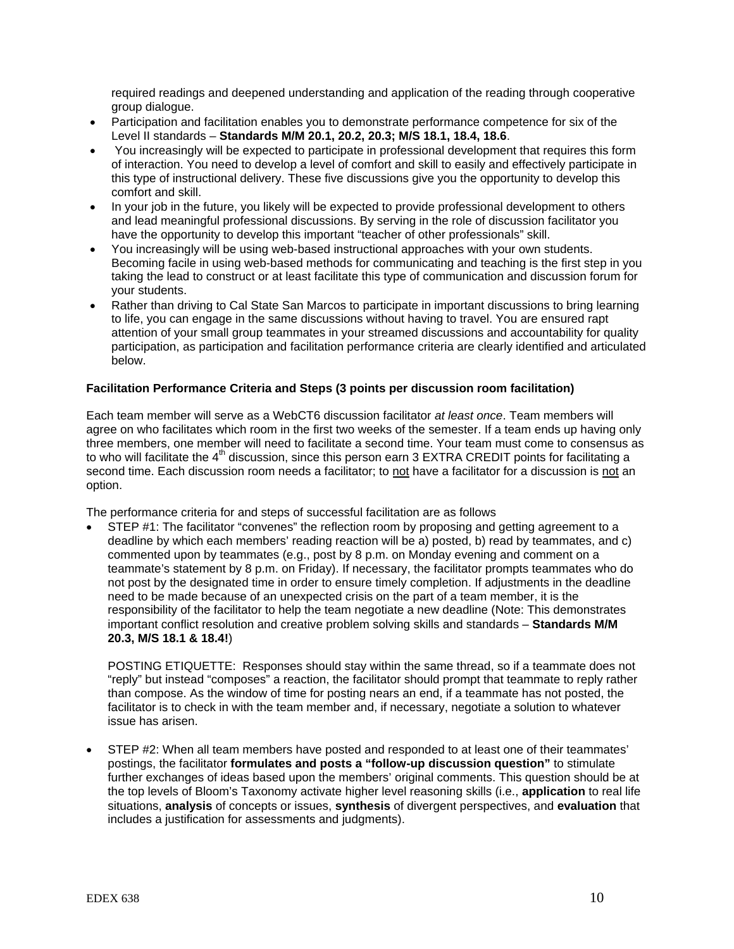required readings and deepened understanding and application of the reading through cooperative group dialogue.

- Participation and facilitation enables you to demonstrate performance competence for six of the Level II standards – **Standards M/M 20.1, 20.2, 20.3; M/S 18.1, 18.4, 18.6**.
- You increasingly will be expected to participate in professional development that requires this form of interaction. You need to develop a level of comfort and skill to easily and effectively participate in this type of instructional delivery. These five discussions give you the opportunity to develop this comfort and skill.
- In your job in the future, you likely will be expected to provide professional development to others and lead meaningful professional discussions. By serving in the role of discussion facilitator you have the opportunity to develop this important "teacher of other professionals" skill.
- You increasingly will be using web-based instructional approaches with your own students. Becoming facile in using web-based methods for communicating and teaching is the first step in you taking the lead to construct or at least facilitate this type of communication and discussion forum for your students.
- Rather than driving to Cal State San Marcos to participate in important discussions to bring learning to life, you can engage in the same discussions without having to travel. You are ensured rapt attention of your small group teammates in your streamed discussions and accountability for quality participation, as participation and facilitation performance criteria are clearly identified and articulated below.

## **Facilitation Performance Criteria and Steps (3 points per discussion room facilitation)**

Each team member will serve as a WebCT6 discussion facilitator *at least once*. Team members will agree on who facilitates which room in the first two weeks of the semester. If a team ends up having only three members, one member will need to facilitate a second time. Your team must come to consensus as to who will facilitate the  $4<sup>th</sup>$  discussion, since this person earn 3 EXTRA CREDIT points for facilitating a second time. Each discussion room needs a facilitator; to not have a facilitator for a discussion is not an option.

The performance criteria for and steps of successful facilitation are as follows

• STEP #1: The facilitator "convenes" the reflection room by proposing and getting agreement to a deadline by which each members' reading reaction will be a) posted, b) read by teammates, and c) commented upon by teammates (e.g., post by 8 p.m. on Monday evening and comment on a teammate's statement by 8 p.m. on Friday). If necessary, the facilitator prompts teammates who do not post by the designated time in order to ensure timely completion. If adjustments in the deadline need to be made because of an unexpected crisis on the part of a team member, it is the responsibility of the facilitator to help the team negotiate a new deadline (Note: This demonstrates important conflict resolution and creative problem solving skills and standards – **Standards M/M 20.3, M/S 18.1 & 18.4!**)

POSTING ETIQUETTE: Responses should stay within the same thread, so if a teammate does not "reply" but instead "composes" a reaction, the facilitator should prompt that teammate to reply rather than compose. As the window of time for posting nears an end, if a teammate has not posted, the facilitator is to check in with the team member and, if necessary, negotiate a solution to whatever issue has arisen.

• STEP #2: When all team members have posted and responded to at least one of their teammates' postings, the facilitator **formulates and posts a "follow-up discussion question"** to stimulate further exchanges of ideas based upon the members' original comments. This question should be at the top levels of Bloom's Taxonomy activate higher level reasoning skills (i.e., **application** to real life situations, **analysis** of concepts or issues, **synthesis** of divergent perspectives, and **evaluation** that includes a justification for assessments and judgments).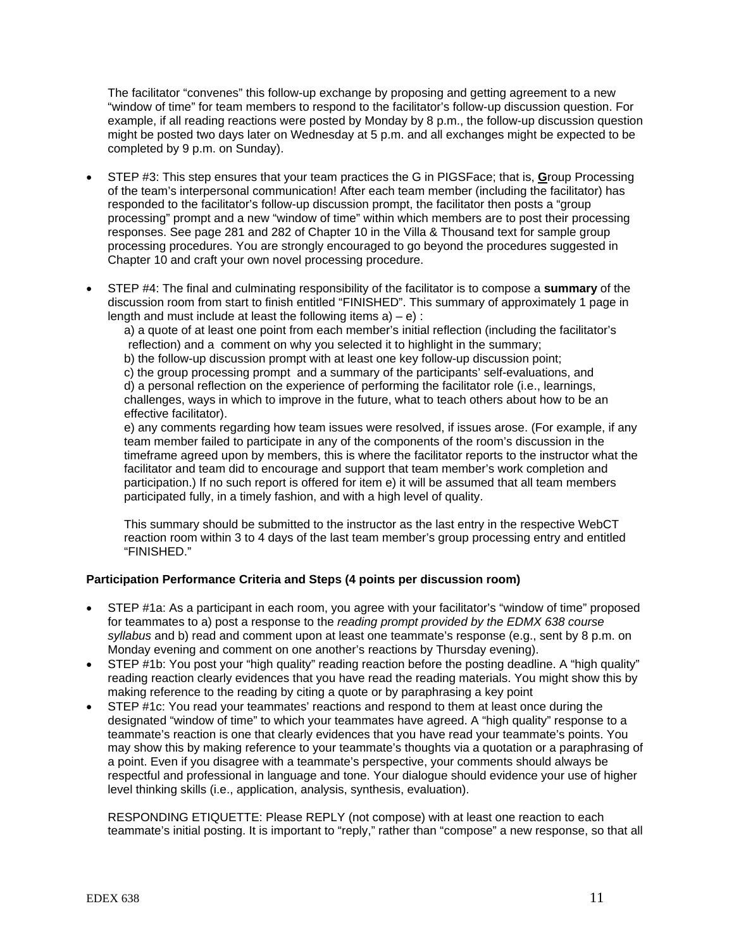The facilitator "convenes" this follow-up exchange by proposing and getting agreement to a new "window of time" for team members to respond to the facilitator's follow-up discussion question. For example, if all reading reactions were posted by Monday by 8 p.m., the follow-up discussion question might be posted two days later on Wednesday at 5 p.m. and all exchanges might be expected to be completed by 9 p.m. on Sunday).

- STEP #3: This step ensures that your team practices the G in PIGSFace; that is, **G**roup Processing of the team's interpersonal communication! After each team member (including the facilitator) has responded to the facilitator's follow-up discussion prompt, the facilitator then posts a "group processing" prompt and a new "window of time" within which members are to post their processing responses. See page 281 and 282 of Chapter 10 in the Villa & Thousand text for sample group processing procedures. You are strongly encouraged to go beyond the procedures suggested in Chapter 10 and craft your own novel processing procedure.
- STEP #4: The final and culminating responsibility of the facilitator is to compose a **summary** of the discussion room from start to finish entitled "FINISHED". This summary of approximately 1 page in length and must include at least the following items  $a$ ) – e) :

a) a quote of at least one point from each member's initial reflection (including the facilitator's reflection) and a comment on why you selected it to highlight in the summary;

b) the follow-up discussion prompt with at least one key follow-up discussion point;

c) the group processing prompt and a summary of the participants' self-evaluations, and d) a personal reflection on the experience of performing the facilitator role (i.e., learnings, challenges, ways in which to improve in the future, what to teach others about how to be an effective facilitator).

e) any comments regarding how team issues were resolved, if issues arose. (For example, if any team member failed to participate in any of the components of the room's discussion in the timeframe agreed upon by members, this is where the facilitator reports to the instructor what the facilitator and team did to encourage and support that team member's work completion and participation.) If no such report is offered for item e) it will be assumed that all team members participated fully, in a timely fashion, and with a high level of quality.

This summary should be submitted to the instructor as the last entry in the respective WebCT reaction room within 3 to 4 days of the last team member's group processing entry and entitled "FINISHED."

# **Participation Performance Criteria and Steps (4 points per discussion room)**

- STEP #1a: As a participant in each room, you agree with your facilitator's "window of time" proposed for teammates to a) post a response to the *reading prompt provided by the EDMX 638 course syllabus* and b) read and comment upon at least one teammate's response (e.g., sent by 8 p.m. on Monday evening and comment on one another's reactions by Thursday evening).
- STEP #1b: You post your "high quality" reading reaction before the posting deadline. A "high quality" reading reaction clearly evidences that you have read the reading materials. You might show this by making reference to the reading by citing a quote or by paraphrasing a key point
- STEP #1c: You read your teammates' reactions and respond to them at least once during the designated "window of time" to which your teammates have agreed. A "high quality" response to a teammate's reaction is one that clearly evidences that you have read your teammate's points. You may show this by making reference to your teammate's thoughts via a quotation or a paraphrasing of a point. Even if you disagree with a teammate's perspective, your comments should always be respectful and professional in language and tone. Your dialogue should evidence your use of higher level thinking skills (i.e., application, analysis, synthesis, evaluation).

RESPONDING ETIQUETTE: Please REPLY (not compose) with at least one reaction to each teammate's initial posting. It is important to "reply," rather than "compose" a new response, so that all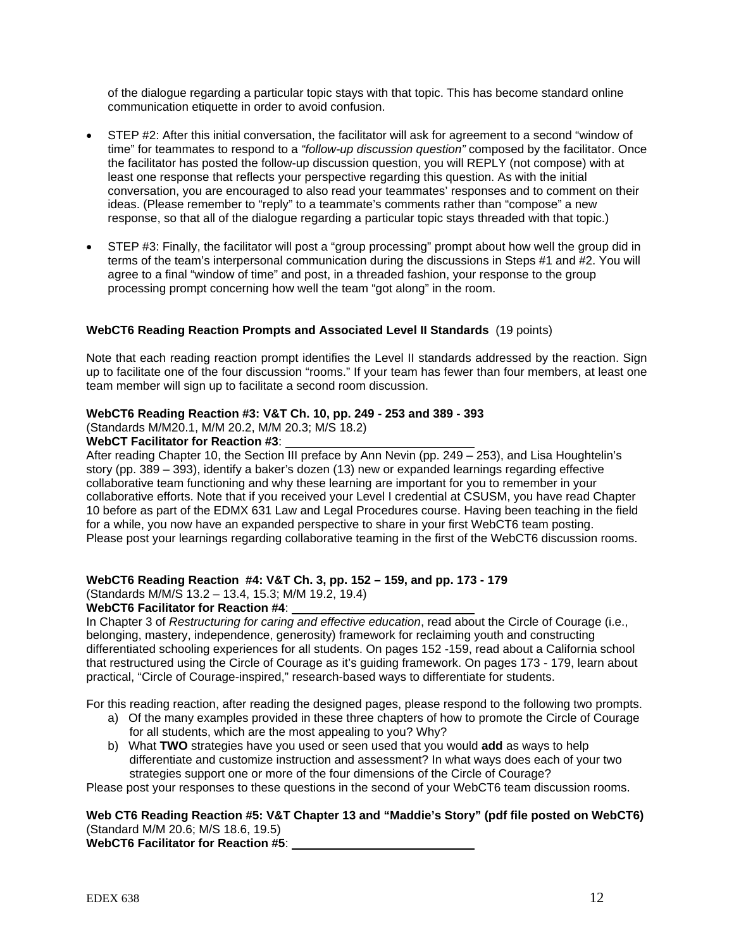of the dialogue regarding a particular topic stays with that topic. This has become standard online communication etiquette in order to avoid confusion.

- STEP #2: After this initial conversation, the facilitator will ask for agreement to a second "window of time" for teammates to respond to a *"follow-up discussion question"* composed by the facilitator. Once the facilitator has posted the follow-up discussion question, you will REPLY (not compose) with at least one response that reflects your perspective regarding this question. As with the initial conversation, you are encouraged to also read your teammates' responses and to comment on their ideas. (Please remember to "reply" to a teammate's comments rather than "compose" a new response, so that all of the dialogue regarding a particular topic stays threaded with that topic.)
- STEP #3: Finally, the facilitator will post a "group processing" prompt about how well the group did in terms of the team's interpersonal communication during the discussions in Steps #1 and #2. You will agree to a final "window of time" and post, in a threaded fashion, your response to the group processing prompt concerning how well the team "got along" in the room.

## **WebCT6 Reading Reaction Prompts and Associated Level II Standards** (19 points)

Note that each reading reaction prompt identifies the Level II standards addressed by the reaction. Sign up to facilitate one of the four discussion "rooms." If your team has fewer than four members, at least one team member will sign up to facilitate a second room discussion.

#### **WebCT6 Reading Reaction #3: V&T Ch. 10, pp. 249 - 253 and 389 - 393**

(Standards M/M20.1, M/M 20.2, M/M 20.3; M/S 18.2)

#### **WebCT Facilitator for Reaction #3**:

After reading Chapter 10, the Section III preface by Ann Nevin (pp. 249 – 253), and Lisa Houghtelin's story (pp. 389 – 393), identify a baker's dozen (13) new or expanded learnings regarding effective collaborative team functioning and why these learning are important for you to remember in your collaborative efforts. Note that if you received your Level I credential at CSUSM, you have read Chapter 10 before as part of the EDMX 631 Law and Legal Procedures course. Having been teaching in the field for a while, you now have an expanded perspective to share in your first WebCT6 team posting. Please post your learnings regarding collaborative teaming in the first of the WebCT6 discussion rooms.

# **WebCT6 Reading Reaction #4: V&T Ch. 3, pp. 152 – 159, and pp. 173 - 179**

# (Standards M/M/S 13.2 – 13.4, 15.3; M/M 19.2, 19.4)

#### **WebCT6 Facilitator for Reaction #4**:

In Chapter 3 of *Restructuring for caring and effective education*, read about the Circle of Courage (i.e., belonging, mastery, independence, generosity) framework for reclaiming youth and constructing differentiated schooling experiences for all students. On pages 152 -159, read about a California school that restructured using the Circle of Courage as it's guiding framework. On pages 173 - 179, learn about practical, "Circle of Courage-inspired," research-based ways to differentiate for students.

For this reading reaction, after reading the designed pages, please respond to the following two prompts.

- a) Of the many examples provided in these three chapters of how to promote the Circle of Courage for all students, which are the most appealing to you? Why?
- b) What **TWO** strategies have you used or seen used that you would **add** as ways to help differentiate and customize instruction and assessment? In what ways does each of your two strategies support one or more of the four dimensions of the Circle of Courage?

Please post your responses to these questions in the second of your WebCT6 team discussion rooms.

## **Web CT6 Reading Reaction #5: V&T Chapter 13 and "Maddie's Story" (pdf file posted on WebCT6)** (Standard M/M 20.6; M/S 18.6, 19.5)

**WebCT6 Facilitator for Reaction #5**: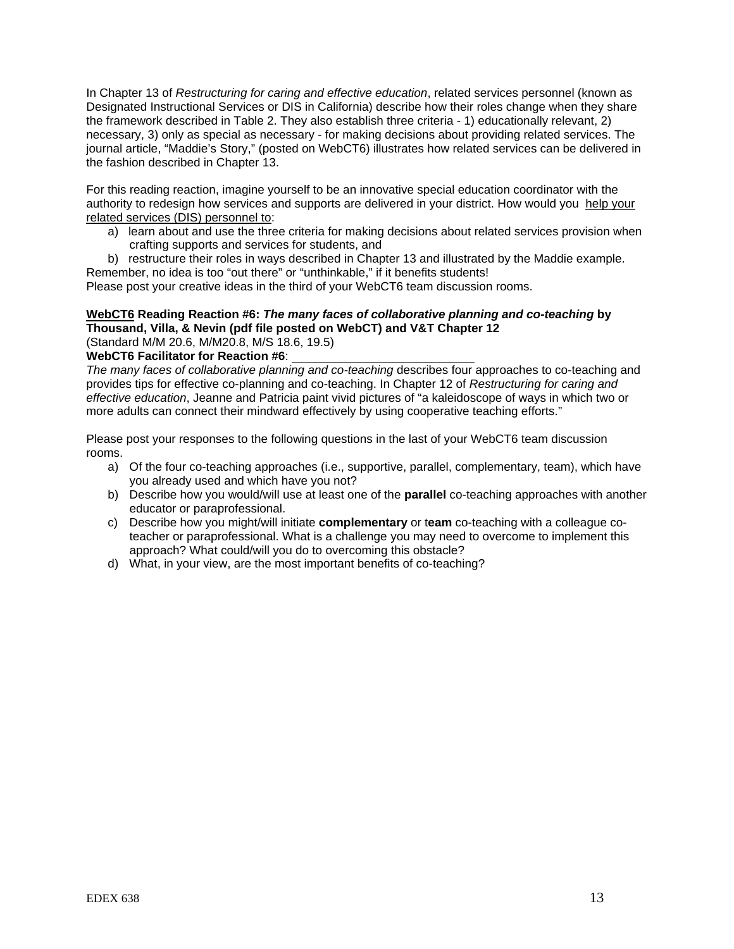In Chapter 13 of *Restructuring for caring and effective education*, related services personnel (known as Designated Instructional Services or DIS in California) describe how their roles change when they share the framework described in Table 2. They also establish three criteria - 1) educationally relevant, 2) necessary, 3) only as special as necessary - for making decisions about providing related services. The journal article, "Maddie's Story," (posted on WebCT6) illustrates how related services can be delivered in the fashion described in Chapter 13.

For this reading reaction, imagine yourself to be an innovative special education coordinator with the authority to redesign how services and supports are delivered in your district. How would you help your related services (DIS) personnel to:

a) learn about and use the three criteria for making decisions about related services provision when crafting supports and services for students, and

b) restructure their roles in ways described in Chapter 13 and illustrated by the Maddie example. Remember, no idea is too "out there" or "unthinkable," if it benefits students!

Please post your creative ideas in the third of your WebCT6 team discussion rooms.

# **WebCT6 Reading Reaction #6:** *The many faces of collaborative planning and co-teaching* **by Thousand, Villa, & Nevin (pdf file posted on WebCT) and V&T Chapter 12**

(Standard M/M 20.6, M/M20.8, M/S 18.6, 19.5)

**WebCT6 Facilitator for Reaction #6**:

*The many faces of collaborative planning and co-teaching* describes four approaches to co-teaching and provides tips for effective co-planning and co-teaching. In Chapter 12 of *Restructuring for caring and effective education*, Jeanne and Patricia paint vivid pictures of "a kaleidoscope of ways in which two or more adults can connect their mindward effectively by using cooperative teaching efforts."

Please post your responses to the following questions in the last of your WebCT6 team discussion rooms.

- a) Of the four co-teaching approaches (i.e., supportive, parallel, complementary, team), which have you already used and which have you not?
- b) Describe how you would/will use at least one of the **parallel** co-teaching approaches with another educator or paraprofessional.
- c) Describe how you might/will initiate **complementary** or t**eam** co-teaching with a colleague coteacher or paraprofessional. What is a challenge you may need to overcome to implement this approach? What could/will you do to overcoming this obstacle?
- d) What, in your view, are the most important benefits of co-teaching?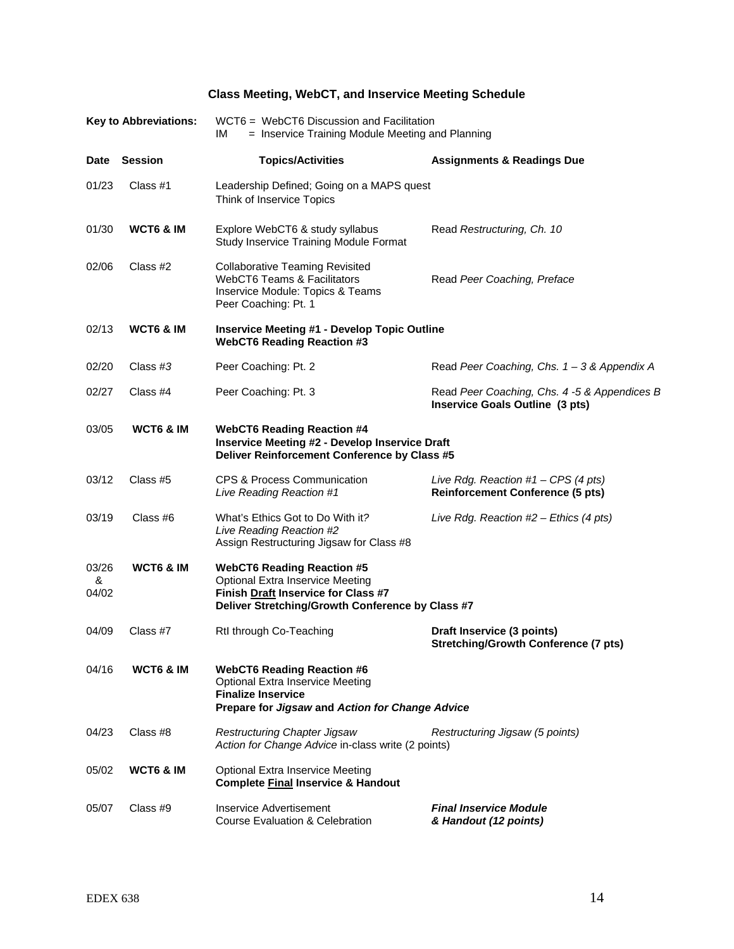# **Class Meeting, WebCT, and Inservice Meeting Schedule**

| <b>Key to Abbreviations:</b> |                      | WCT6 = WebCT6 Discussion and Facilitation<br>IМ<br>= Inservice Training Module Meeting and Planning                                                                     |                                                                                  |  |  |  |
|------------------------------|----------------------|-------------------------------------------------------------------------------------------------------------------------------------------------------------------------|----------------------------------------------------------------------------------|--|--|--|
| <b>Date</b>                  | <b>Session</b>       | <b>Topics/Activities</b>                                                                                                                                                | <b>Assignments &amp; Readings Due</b>                                            |  |  |  |
| 01/23                        | Class #1             | Leadership Defined; Going on a MAPS quest<br>Think of Inservice Topics                                                                                                  |                                                                                  |  |  |  |
| 01/30                        | <b>WCT6 &amp; IM</b> | Explore WebCT6 & study syllabus<br>Study Inservice Training Module Format                                                                                               | Read Restructuring, Ch. 10                                                       |  |  |  |
| 02/06                        | Class #2             | <b>Collaborative Teaming Revisited</b><br><b>WebCT6 Teams &amp; Facilitators</b><br>Inservice Module: Topics & Teams<br>Peer Coaching: Pt. 1                            | Read Peer Coaching, Preface                                                      |  |  |  |
| 02/13                        | <b>WCT6 &amp; IM</b> | <b>Inservice Meeting #1 - Develop Topic Outline</b><br><b>WebCT6 Reading Reaction #3</b>                                                                                |                                                                                  |  |  |  |
| 02/20                        | Class $#3$           | Peer Coaching: Pt. 2                                                                                                                                                    | Read Peer Coaching, Chs. $1 - 3$ & Appendix A                                    |  |  |  |
| 02/27                        | Class #4             | Peer Coaching: Pt. 3                                                                                                                                                    | Read Peer Coaching, Chs. 4 -5 & Appendices B<br>Inservice Goals Outline (3 pts)  |  |  |  |
| 03/05                        | <b>WCT6 &amp; IM</b> | <b>WebCT6 Reading Reaction #4</b><br><b>Inservice Meeting #2 - Develop Inservice Draft</b><br>Deliver Reinforcement Conference by Class #5                              |                                                                                  |  |  |  |
| 03/12                        | Class #5             | <b>CPS &amp; Process Communication</b><br>Live Reading Reaction #1                                                                                                      | Live Rdg. Reaction $#1 - CPS$ (4 pts)<br><b>Reinforcement Conference (5 pts)</b> |  |  |  |
| 03/19                        | Class #6             | What's Ethics Got to Do With it?<br>Live Reading Reaction #2<br>Assign Restructuring Jigsaw for Class #8                                                                | Live Rdg. Reaction #2 - Ethics (4 pts)                                           |  |  |  |
| 03/26<br>&<br>04/02          | <b>WCT6 &amp; IM</b> | <b>WebCT6 Reading Reaction #5</b><br><b>Optional Extra Inservice Meeting</b><br>Finish Draft Inservice for Class #7<br>Deliver Stretching/Growth Conference by Class #7 |                                                                                  |  |  |  |
| 04/09                        | Class #7             | Rtl through Co-Teaching                                                                                                                                                 | Draft Inservice (3 points)<br><b>Stretching/Growth Conference (7 pts)</b>        |  |  |  |
| 04/16                        | WCT6 & IM            | <b>WebCT6 Reading Reaction #6</b><br><b>Optional Extra Inservice Meeting</b><br><b>Finalize Inservice</b><br>Prepare for Jigsaw and Action for Change Advice            |                                                                                  |  |  |  |
| 04/23                        | Class #8             | Restructuring Chapter Jigsaw<br>Action for Change Advice in-class write (2 points)                                                                                      | Restructuring Jigsaw (5 points)                                                  |  |  |  |
| 05/02                        | <b>WCT6 &amp; IM</b> | <b>Optional Extra Inservice Meeting</b><br><b>Complete Final Inservice &amp; Handout</b>                                                                                |                                                                                  |  |  |  |
| 05/07                        | Class #9             | Inservice Advertisement<br><b>Course Evaluation &amp; Celebration</b>                                                                                                   | <b>Final Inservice Module</b><br>& Handout (12 points)                           |  |  |  |